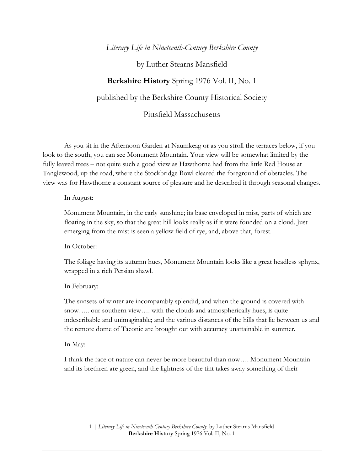## *Literary Life in Nineteenth-Century Berkshire County*

by Luther Stearns Mansfield

## **Berkshire History** Spring 1976 Vol. II, No. 1

published by the Berkshire County Historical Society

Pittsfield Massachusetts

As you sit in the Afternoon Garden at Naumkeag or as you stroll the terraces below, if you look to the south, you can see Monument Mountain. Your view will be somewhat limited by the fully leaved trees – not quite such a good view as Hawthorne had from the little Red House at Tanglewood, up the road, where the Stockbridge Bowl cleared the foreground of obstacles. The view was for Hawthorne a constant source of pleasure and he described it through seasonal changes.

## In August:

Monument Mountain, in the early sunshine; its base enveloped in mist, parts of which are floating in the sky, so that the great hill looks really as if it were founded on a cloud. Just emerging from the mist is seen a yellow field of rye, and, above that, forest.

In October:

The foliage having its autumn hues, Monument Mountain looks like a great headless sphynx, wrapped in a rich Persian shawl.

In February:

The sunsets of winter are incomparably splendid, and when the ground is covered with snow….. our southern view…. with the clouds and atmospherically hues, is quite indescribable and unimaginable; and the various distances of the hills that lie between us and the remote dome of Taconic are brought out with accuracy unattainable in summer.

In May:

I think the face of nature can never be more beautiful than now…. Monument Mountain and its brethren are green, and the lightness of the tint takes away something of their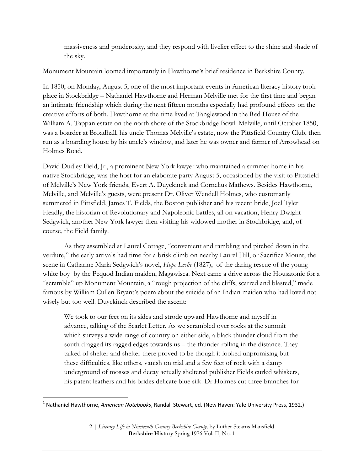massiveness and ponderosity, and they respond with livelier effect to the shine and shade of the sky. $1$ 

Monument Mountain loomed importantly in Hawthorne's brief residence in Berkshire County.

In 1850, on Monday, August 5, one of the most important events in American literacy history took place in Stockbridge – Nathaniel Hawthorne and Herman Melville met for the first time and began an intimate friendship which during the next fifteen months especially had profound effects on the creative efforts of both. Hawthorne at the time lived at Tanglewood in the Red House of the William A. Tappan estate on the north shore of the Stockbridge Bowl. Melville, until October 1850, was a boarder at Broadhall, his uncle Thomas Melville's estate, now the Pittsfield Country Club, then run as a boarding house by his uncle's window, and later he was owner and farmer of Arrowhead on Holmes Road.

David Dudley Field, Jr., a prominent New York lawyer who maintained a summer home in his native Stockbridge, was the host for an elaborate party August 5, occasioned by the visit to Pittsfield of Melville's New York friends, Evert A. Duyckinck and Cornelius Mathews. Besides Hawthorne, Melville, and Melville's guests, were present Dr. Oliver Wendell Holmes, who customarily summered in Pittsfield, James T. Fields, the Boston publisher and his recent bride, Joel Tyler Headly, the historian of Revolutionary and Napoleonic battles, all on vacation, Henry Dwight Sedgwick, another New York lawyer then visiting his widowed mother in Stockbridge, and, of course, the Field family.

As they assembled at Laurel Cottage, "convenient and rambling and pitched down in the verdure," the early arrivals had time for a brisk climb on nearby Laurel Hill, or Sacrifice Mount, the scene in Catharine Maria Sedgwick's novel, *Hope Leslie* (1827), of the daring rescue of the young white boy by the Pequod Indian maiden, Magawisca. Next came a drive across the Housatonic for a "scramble" up Monument Mountain, a "rough projection of the cliffs, scarred and blasted," made famous by William Cullen Bryant's poem about the suicide of an Indian maiden who had loved not wisely but too well. Duyckinck described the ascent:

We took to our feet on its sides and strode upward Hawthorne and myself in advance, talking of the Scarlet Letter. As we scrambled over rocks at the summit which surveys a wide range of country on either side, a black thunder cloud from the south dragged its ragged edges towards us – the thunder rolling in the distance. They talked of shelter and shelter there proved to be though it looked unpromising but these difficulties, like others, vanish on trial and a few feet of rock with a damp underground of mosses and decay actually sheltered publisher Fields curled whiskers, his patent leathers and his brides delicate blue silk. Dr Holmes cut three branches for

<sup>1</sup> Nathaniel Hawthorne, *American Notebooks*, Randall Stewart, ed. (New Haven: Yale University Press, 1932.)

**<sup>2</sup> |** *Literary Life in Nineteenth-Century Berkshire County,* by Luther Stearns Mansfield **Berkshire History** Spring 1976 Vol. II, No. 1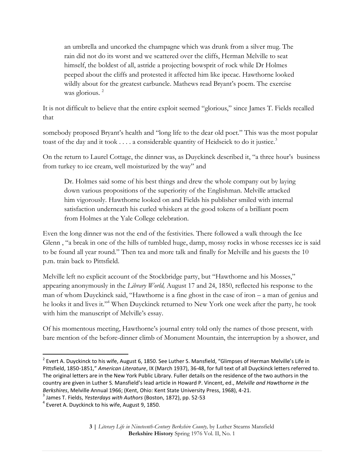an umbrella and uncorked the champagne which was drunk from a silver mug. The rain did not do its worst and we scattered over the cliffs, Herman Melville to seat himself, the boldest of all, astride a projecting bowsprit of rock while Dr Holmes peeped about the cliffs and protested it affected him like ipecac. Hawthorne looked wildly about for the greatest carbuncle. Mathews read Bryant's poem. The exercise was glorious.<sup>2</sup>

It is not difficult to believe that the entire exploit seemed "glorious," since James T. Fields recalled that

somebody proposed Bryant's health and "long life to the dear old poet." This was the most popular toast of the day and it took  $\dots$  a considerable quantity of Heidseick to do it justice.<sup>3</sup>

On the return to Laurel Cottage, the dinner was, as Duyckinck described it, "a three hour's business from turkey to ice cream, well moisturized by the way" and

Dr. Holmes said some of his best things and drew the whole company out by laying down various propositions of the superiority of the Englishman. Melville attacked him vigorously. Hawthorne looked on and Fields his publisher smiled with internal satisfaction underneath his curled whiskers at the good tokens of a brilliant poem from Holmes at the Yale College celebration.

Even the long dinner was not the end of the festivities. There followed a walk through the Ice Glenn , "a break in one of the hills of tumbled huge, damp, mossy rocks in whose recesses ice is said to be found all year round." Then tea and more talk and finally for Melville and his guests the 10 p.m. train back to Pittsfield.

Melville left no explicit account of the Stockbridge party, but "Hawthorne and his Mosses," appearing anonymously in the *Library World,* August 17 and 24, 1850, reflected his response to the man of whom Duyckinck said, "Hawthorne is a fine ghost in the case of iron – a man of genius and he looks it and lives it."<sup>4</sup> When Duyckinck returned to New York one week after the party, he took with him the manuscript of Melville's essay.

Of his momentous meeting, Hawthorne's journal entry told only the names of those present, with bare mention of the before-dinner climb of Monument Mountain, the interruption by a shower, and

 2 Evert A. Duyckinck to his wife, August 6, 1850. See Luther S. Mansfield, "Glimpses of Herman Melville's Life in Pittsfield, 1850-1851," *American Literature*, IX (March 1937), 36-48, for full text of all Duyckinck letters referred to. The original letters are in the New York Public Library. Fuller details on the residence of the two authors in the country are given in Luther S. Mansfield's lead article in Howard P. Vincent, ed., *Melville and Hawthorne in the Berkshires*, Melville Annual 1966; (Kent, Ohio: Kent State University Press, 1968), 4-21.

<sup>3</sup> James T. Fields, *Yesterdays with Authors* (Boston, 1872), pp. 52-53

 $^4$  Everet A. Duyckinck to his wife, August 9, 1850.

**<sup>3</sup> |** *Literary Life in Nineteenth-Century Berkshire County,* by Luther Stearns Mansfield **Berkshire History** Spring 1976 Vol. II, No. 1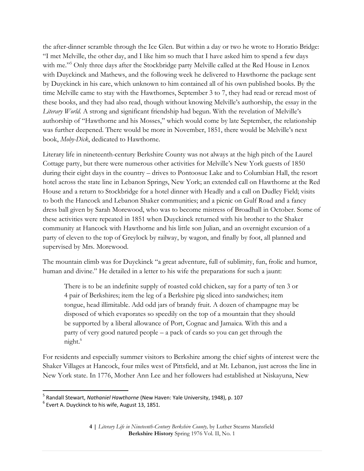the after-dinner scramble through the Ice Glen. But within a day or two he wrote to Horatio Bridge: "I met Melville, the other day, and I like him so much that I have asked him to spend a few days with me."<sup>5</sup> Only three days after the Stockbridge party Melville called at the Red House in Lenox with Duyckinck and Mathews, and the following week he delivered to Hawthorne the package sent by Duyckinck in his care, which unknown to him contained all of his own published books. By the time Melville came to stay with the Hawthornes, September 3 to 7, they had read or reread most of these books, and they had also read, though without knowing Melville's authorship, the essay in the *Literary World.* A strong and significant friendship had begun. With the revelation of Melville's authorship of "Hawthorne and his Mosses," which would come by late September, the relationship was further deepened. There would be more in November, 1851, there would be Melville's next book, *Moby-Dick*, dedicated to Hawthorne.

Literary life in nineteenth-century Berkshire County was not always at the high pitch of the Laurel Cottage party, but there were numerous other activities for Melville's New York guests of 1850 during their eight days in the country – drives to Pontoosuc Lake and to Columbian Hall, the resort hotel across the state line in Lebanon Springs, New York; an extended call on Hawthorne at the Red House and a return to Stockbridge for a hotel dinner with Headly and a call on Dudley Field; visits to both the Hancock and Lebanon Shaker communities; and a picnic on Gulf Road and a fancy dress ball given by Sarah Morewood, who was to become mistress of Broadhall in October. Some of these activities were repeated in 1851 when Duyckinck returned with his brother to the Shaker community at Hancock with Hawthorne and his little son Julian, and an overnight excursion of a party of eleven to the top of Greylock by railway, by wagon, and finally by foot, all planned and supervised by Mrs. Morewood.

The mountain climb was for Duyckinck "a great adventure, full of sublimity, fun, frolic and humor, human and divine." He detailed in a letter to his wife the preparations for such a jaunt:

There is to be an indefinite supply of roasted cold chicken, say for a party of ten 3 or 4 pair of Berkshires; item the leg of a Berkshire pig sliced into sandwiches; item tongue, head illimitable. Add odd jars of brandy fruit. A dozen of champagne may be disposed of which evaporates so speedily on the top of a mountain that they should be supported by a liberal allowance of Port, Cognac and Jamaica. With this and a party of very good natured people – a pack of cards so you can get through the night.<sup>6</sup>

For residents and especially summer visitors to Berkshire among the chief sights of interest were the Shaker Villages at Hancock, four miles west of Pittsfield, and at Mt. Lebanon, just across the line in New York state. In 1776, Mother Ann Lee and her followers had established at Niskayuna, New

 $\overline{a}$ 

<sup>5</sup> Randall Stewart, *Nathaniel Hawthorne* (New Haven: Yale University, 1948), p. 107

 $^6$  Evert A. Duyckinck to his wife, August 13, 1851.

**<sup>4</sup> |** *Literary Life in Nineteenth-Century Berkshire County,* by Luther Stearns Mansfield **Berkshire History** Spring 1976 Vol. II, No. 1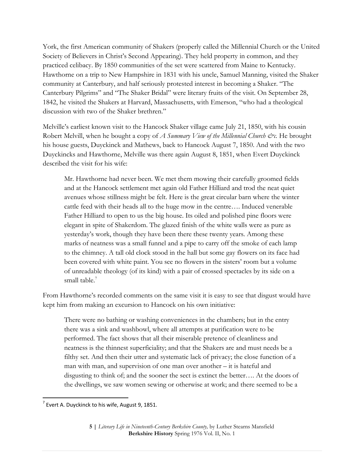York, the first American community of Shakers (properly called the Millennial Church or the United Society of Believers in Christ's Second Appearing). They held property in common, and they practiced celibacy. By 1850 communities of the set were scattered from Maine to Kentucky. Hawthorne on a trip to New Hampshire in 1831 with his uncle, Samuel Manning, visited the Shaker community at Canterbury, and half seriously protested interest in becoming a Shaker. "The Canterbury Pilgrims" and "The Shaker Bridal" were literary fruits of the visit. On September 28, 1842, he visited the Shakers at Harvard, Massachusetts, with Emerson, "who had a theological discussion with two of the Shaker brethren."

Melville's earliest known visit to the Hancock Shaker village came July 21, 1850, with his cousin Robert Melvill, when he bought a copy of *A Summary View of the Millennial Church &c.* He brought his house guests, Duyckinck and Mathews, back to Hancock August 7, 1850. And with the two Duyckincks and Hawthorne, Melville was there again August 8, 1851, when Evert Duyckinck described the visit for his wife:

Mr. Hawthorne had never been. We met them mowing their carefully groomed fields and at the Hancock settlement met again old Father Hilliard and trod the neat quiet avenues whose stillness might be felt. Here is the great circular barn where the winter cattle feed with their heads all to the huge mow in the centre…. Induced venerable Father Hilliard to open to us the big house. Its oiled and polished pine floors were elegant in spite of Shakerdom. The glazed finish of the white walls were as pure as yesterday's work, though they have been there these twenty years. Among these marks of neatness was a small funnel and a pipe to carry off the smoke of each lamp to the chimney. A tall old clock stood in the hall but some gay flowers on its face had been covered with white paint. You see no flowers in the sisters' room but a volume of unreadable theology (of its kind) with a pair of crossed spectacles by its side on a small table $^7$ 

From Hawthorne's recorded comments on the same visit it is easy to see that disgust would have kept him from making an excursion to Hancock on his own initiative:

There were no bathing or washing conveniences in the chambers; but in the entry there was a sink and washbowl, where all attempts at purification were to be performed. The fact shows that all their miserable pretence of cleanliness and neatness is the thinnest superficiality; and that the Shakers are and must needs be a filthy set. And then their utter and systematic lack of privacy; the close function of a man with man, and supervision of one man over another – it is hateful and disgusting to think of; and the sooner the sect is extinct the better…. At the doors of the dwellings, we saw women sewing or otherwise at work; and there seemed to be a

 $^7$  Evert A. Duyckinck to his wife, August 9, 1851.

**<sup>5</sup> |** *Literary Life in Nineteenth-Century Berkshire County,* by Luther Stearns Mansfield **Berkshire History** Spring 1976 Vol. II, No. 1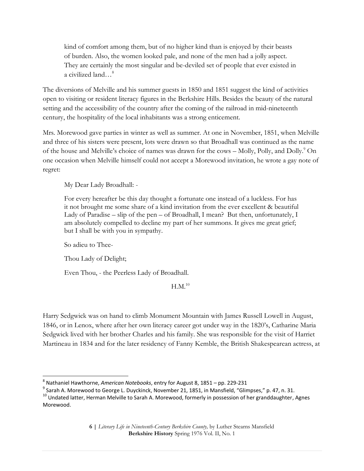kind of comfort among them, but of no higher kind than is enjoyed by their beasts of burden. Also, the women looked pale, and none of the men had a jolly aspect. They are certainly the most singular and be-deviled set of people that ever existed in a civilized land…<sup>8</sup>

The diversions of Melville and his summer guests in 1850 and 1851 suggest the kind of activities open to visiting or resident literacy figures in the Berkshire Hills. Besides the beauty of the natural setting and the accessibility of the country after the coming of the railroad in mid-nineteenth century, the hospitality of the local inhabitants was a strong enticement.

Mrs. Morewood gave parties in winter as well as summer. At one in November, 1851, when Melville and three of his sisters were present, lots were drawn so that Broadhall was continued as the name of the house and Melville's choice of names was drawn for the cows – Molly, Polly, and Dolly.<sup>9</sup> On one occasion when Melville himself could not accept a Morewood invitation, he wrote a gay note of regret:

My Dear Lady Broadhall: -

For every hereafter be this day thought a fortunate one instead of a luckless. For has it not brought me some share of a kind invitation from the ever excellent & beautiful Lady of Paradise – slip of the pen – of Broadhall, I mean? But then, unfortunately, I am absolutely compelled to decline my part of her summons. It gives me great grief; but I shall be with you in sympathy.

So adieu to Thee-

 $\overline{\phantom{a}}$ 

Thou Lady of Delight;

Even Thou, - the Peerless Lady of Broadhall.

## $H.M.<sup>10</sup>$

Harry Sedgwick was on hand to climb Monument Mountain with James Russell Lowell in August, 1846, or in Lenox, where after her own literacy career got under way in the 1820's, Catharine Maria Sedgwick lived with her brother Charles and his family. She was responsible for the visit of Harriet Martineau in 1834 and for the later residency of Fanny Kemble, the British Shakespearean actress, at

<sup>8</sup> Nathaniel Hawthorne, *American Notebooks*, entry for August 8, 1851 – pp. 229-231

 $^9$  Sarah A. Morewood to George L. Duyckinck, November 21, 1851, in Mansfield, "Glimpses," p. 47, n. 31.

<sup>&</sup>lt;sup>10</sup> Undated latter, Herman Melville to Sarah A. Morewood, formerly in possession of her granddaughter, Agnes Morewood.

**<sup>6</sup> |** *Literary Life in Nineteenth-Century Berkshire County,* by Luther Stearns Mansfield **Berkshire History** Spring 1976 Vol. II, No. 1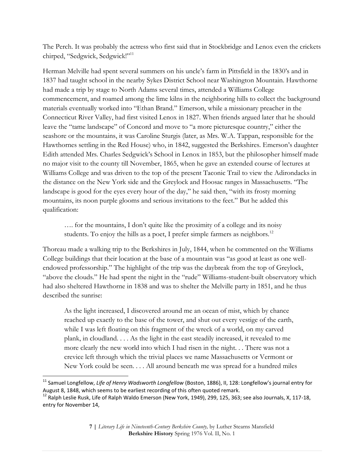The Perch. It was probably the actress who first said that in Stockbridge and Lenox even the crickets chirped, "Sedgwick, Sedgwick!"<sup>11</sup>

Herman Melville had spent several summers on his uncle's farm in Pittsfield in the 1830's and in 1837 had taught school in the nearby Sykes District School near Washington Mountain. Hawthorne had made a trip by stage to North Adams several times, attended a Williams College commencement, and roamed among the lime kilns in the neighboring hills to collect the background materials eventually worked into "Ethan Brand." Emerson, while a missionary preacher in the Connecticut River Valley, had first visited Lenox in 1827. When friends argued later that he should leave the "tame landscape" of Concord and move to "a more picturesque country," either the seashore or the mountains, it was Caroline Sturgis (later, as Mrs. W.A. Tappan, responsible for the Hawthornes settling in the Red House) who, in 1842, suggested the Berkshires. Emerson's daughter Edith attended Mrs. Charles Sedgwick's School in Lenox in 1853, but the philosopher himself made no major visit to the county till November, 1865, when he gave an extended course of lectures at Williams College and was driven to the top of the present Taconic Trail to view the Adirondacks in the distance on the New York side and the Greylock and Hoosac ranges in Massachusetts. "The landscape is good for the eyes every hour of the day," he said then, "with its frosty morning mountains, its noon purple glooms and serious invitations to the feet." But he added this qualification:

…. for the mountains, I don't quite like the proximity of a college and its noisy students. To enjoy the hills as a poet, I prefer simple farmers as neighbors.<sup>12</sup>

Thoreau made a walking trip to the Berkshires in July, 1844, when he commented on the Williams College buildings that their location at the base of a mountain was "as good at least as one wellendowed professorship." The highlight of the trip was the daybreak from the top of Greylock, "above the clouds." He had spent the night in the "rude" Williams-student-built observatory which had also sheltered Hawthorne in 1838 and was to shelter the Melville party in 1851, and he thus described the sunrise:

As the light increased, I discovered around me an ocean of mist, which by chance reached up exactly to the base of the tower, and shut out every vestige of the earth, while I was left floating on this fragment of the wreck of a world, on my carved plank, in cloudland. . . . As the light in the east steadily increased, it revealed to me more clearly the new world into which I had risen in the night. . . There was not a crevice left through which the trivial places we name Massachusetts or Vermont or New York could be seen. . . . All around beneath me was spread for a hundred miles

 $\overline{\phantom{a}}$ <sup>11</sup> Samuel Longfellow, *Life of Henry Wadsworth Longfellow* (Boston, 1886), II, 128: Longfellow's journal entry for August 8, 1848, which seems to be earliest recording of this often quoted remark.

<sup>&</sup>lt;sup>12</sup> Ralph Leslie Rusk, Life of Ralph Waldo Emerson (New York, 1949), 299, 125, 363; see also Journals, X, 117-18, entry for November 14,

**<sup>7</sup> |** *Literary Life in Nineteenth-Century Berkshire County,* by Luther Stearns Mansfield **Berkshire History** Spring 1976 Vol. II, No. 1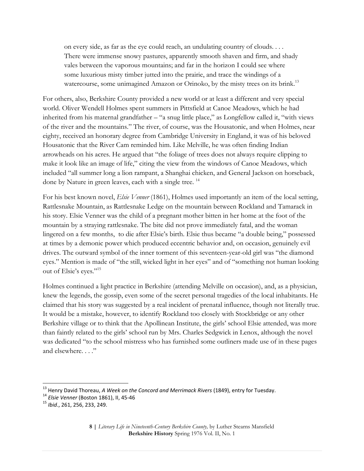on every side, as far as the eye could reach, an undulating country of clouds. . . . There were immense snowy pastures, apparently smooth shaven and firm, and shady vales between the vaporous mountains; and far in the horizon I could see where some luxurious misty timber jutted into the prairie, and trace the windings of a watercourse, some unimagined Amazon or Orinoko, by the misty trees on its brink.<sup>13</sup>

For others, also, Berkshire County provided a new world or at least a different and very special world. Oliver Wendell Holmes spent summers in Pittsfield at Canoe Meadows, which he had inherited from his maternal grandfather – "a snug little place," as Longfellow called it, "with views of the river and the mountains." The river, of course, was the Housatonic, and when Holmes, near eighty, received an honorary degree from Cambridge University in England, it was of his beloved Housatonic that the River Cam reminded him. Like Melville, he was often finding Indian arrowheads on his acres. He argued that "the foliage of trees does not always require clipping to make it look like an image of life," citing the view from the windows of Canoe Meadows, which included "all summer long a lion rampant, a Shanghai chicken, and General Jackson on horseback, done by Nature in green leaves, each with a single tree.<sup>14</sup>

For his best known novel, *Elsie Venner* (1861), Holmes used importantly an item of the local setting, Rattlesnake Mountain, as Rattlesnake Ledge on the mountain between Rockland and Tamarack in his story. Elsie Venner was the child of a pregnant mother bitten in her home at the foot of the mountain by a straying rattlesnake. The bite did not prove immediately fatal, and the woman lingered on a few months, to die after Elsie's birth. Elsie thus became "a double being," possessed at times by a demonic power which produced eccentric behavior and, on occasion, genuinely evil drives. The outward symbol of the inner torment of this seventeen-year-old girl was "the diamond eyes." Mention is made of "the still, wicked light in her eyes" and of "something not human looking out of Elsie's eyes."<sup>15</sup>

Holmes continued a light practice in Berkshire (attending Melville on occasion), and, as a physician, knew the legends, the gossip, even some of the secret personal tragedies of the local inhabitants. He claimed that his story was suggested by a real incident of prenatal influence, though not literally true. It would be a mistake, however, to identify Rockland too closely with Stockbridge or any other Berkshire village or to think that the Apollinean Institute, the girls' school Elsie attended, was more than faintly related to the girls' school run by Mrs. Charles Sedgwick in Lenox, although the novel was dedicated "to the school mistress who has furnished some outliners made use of in these pages and elsewhere...."

l

<sup>13</sup> Henry David Thoreau, *A Week on the Concord and Merrimack Rivers* (1849), entry for Tuesday.

<sup>14</sup> *Elsie Venner* (Boston 1861), II, 45-46

<sup>15</sup> *Ibid*., 261, 256, 233, 249.

**<sup>8</sup> |** *Literary Life in Nineteenth-Century Berkshire County,* by Luther Stearns Mansfield **Berkshire History** Spring 1976 Vol. II, No. 1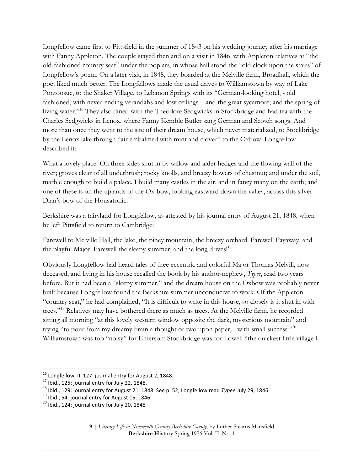Longfellow came first to Pittsfield in the summer of 1843 on his wedding journey after his marriage with Fanny Appleton. The couple stayed then and on a visit in 1846, with Appleton relatives at "the old-fashioned country seat" under the poplars, in whose hall stood the "old clock upon the stairs" of Longfellow's poem. On a later visit, in 1848, they boarded at the Melville farm, Broadhall, which the poet liked much better. The Longfellows made the usual drives to Williamstown by way of Lake Pontoosuc, to the Shaker Village, to Lebanon Springs with its "German-looking hotel, - old fashioned, with never-ending verandahs and low ceilings – and the great sycamore; and the spring of living water."<sup>16</sup> They also dined with the Theodore Sedgwicks in Stockbridge and had tea with the Charles Sedgwicks in Lenox, where Fanny Kemble Butler sang German and Scotch songs. And more than once they went to the site of their dream house, which never materialized, to Stockbridge by the Lenox lake through "air embalmed with mint and clover" to the Oxbow. Longfellow described it:

What a lovely place! On three sides shut in by willow and alder hedges and the flowing wall of the river; groves clear of all underbrush; rocky knolls, and breezy bowers of chestnut; and under the soil, marble enough to build a palace. I build many castles in the air, and in fancy many on the earth; and one of these is on the uplands of the Ox-bow, looking eastward down the valley, across this silver Dian's bow of the Housatonic.<sup>17</sup>

Berkshire was a fairyland for Longfellow, as attested by his journal entry of August 21, 1848, when he left Pittsfield to return to Cambridge:

Farewell to Melville Hall, the lake, the piney mountain, the breezy orchard! Farewell Fayaway, and the playful Major! Farewell the sleepy summer, and the long drives!<sup>18</sup>

Obviously Longfellow had heard tales of thee eccentric and colorful Major Thomas Melvill, now deceased, and living in his house recalled the book by his author-nephew, *Typee*, read two years before. But it had been a "sleepy summer," and the dream house on the Oxbow was probably never built because Longfellow found the Berkshire summer unconducive to work. Of the Appleton "country seat," he had complained, "It is difficult to write in this house, so closely is it shut in with trees."<sup>19</sup> Relatives may have bothered there as much as trees. At the Melville farm, he recorded sitting all morning "at this lovely western window opposite the dark, mysterious mountain" and trying "to pour from my dreamy brain a thought or two upon paper, - with small success."<sup>20</sup> Williamstown was too "noisy" for Emerson; Stockbridge was for Lowell "the quickest little village I

 $\overline{a}$ 

 $^{16}$  Longfellow, II. 127: journal entry for August 2, 1848.

 $17$  Ibid., 125: journal entry for July 22, 1848.

<sup>18</sup> Ibid., 129: journal entry for August 21, 1848. See p. 52; Longfellow read *Typee* July 29, 1846.

<sup>&</sup>lt;sup>19</sup> Ibid., 54: journal entry for August 15, 1846.

 $20$  Ibid., 124: journal entry for July 20, 1848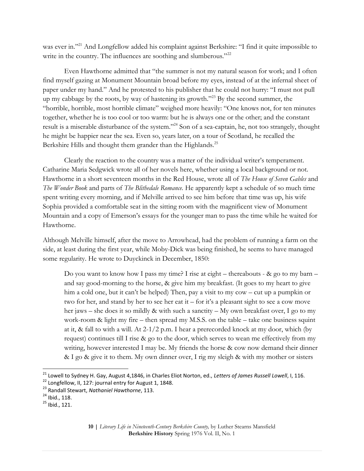was ever in."<sup>21</sup> And Longfellow added his complaint against Berkshire: "I find it quite impossible to write in the country. The influences are soothing and slumberous."<sup>22</sup>

Even Hawthorne admitted that "the summer is not my natural season for work; and I often find myself gazing at Monument Mountain broad before my eyes, instead of at the infernal sheet of paper under my hand." And he protested to his publisher that he could not hurry: "I must not pull up my cabbage by the roots, by way of hastening its growth."<sup>23</sup> By the second summer, the "horrible, horrible, most horrible climate" weighed more heavily: "One knows not, for ten minutes together, whether he is too cool or too warm: but he is always one or the other; and the constant result is a miserable disturbance of the system."<sup>24</sup> Son of a sea-captain, he, not too strangely, thought he might be happier near the sea. Even so, years later, on a tour of Scotland, he recalled the Berkshire Hills and thought them grander than the Highlands.<sup>25</sup>

Clearly the reaction to the country was a matter of the individual writer's temperament. Catharine Maria Sedgwick wrote all of her novels here, whether using a local background or not. Hawthorne in a short seventeen months in the Red House, wrote all of *The House of Seven Gables* and *The Wonder Book* and parts of *The Blithedale Romance.* He apparently kept a schedule of so much time spent writing every morning, and if Melville arrived to see him before that time was up, his wife Sophia provided a comfortable seat in the sitting room with the magnificent view of Monument Mountain and a copy of Emerson's essays for the younger man to pass the time while he waited for Hawthorne.

Although Melville himself, after the move to Arrowhead, had the problem of running a farm on the side, at least during the first year, while Moby-Dick was being finished, he seems to have managed some regularity. He wrote to Duyckinck in December, 1850:

Do you want to know how I pass my time? I rise at eight – thereabouts - & go to my barn – and say good-morning to the horse, & give him my breakfast. (It goes to my heart to give him a cold one, but it can't be helped) Then, pay a visit to my cow – cut up a pumpkin or two for her, and stand by her to see her eat it – for it's a pleasant sight to see a cow move her jaws – she does it so mildly & with such a sanctity – My own breakfast over, I go to my work-room & light my fire – then spread my M.S.S. on the table – take one business squint at it, & fall to with a will. At 2-1/2 p.m. I hear a prerecorded knock at my door, which (by request) continues till I rise & go to the door, which serves to wean me effectively from my writing, however interested I may be. My friends the horse & cow now demand their dinner & I go & give it to them. My own dinner over, I rig my sleigh & with my mother or sisters

 $\overline{a}$ 

**10 |** *Literary Life in Nineteenth-Century Berkshire County,* by Luther Stearns Mansfield **Berkshire History** Spring 1976 Vol. II, No. 1

<sup>21</sup> Lowell to Sydney H. Gay, August 4,1846, in Charles Eliot Norton, ed., *Letters of James Russell Lowell*, I, 116.

 $22$  Longfellow, II, 127: journal entry for August 1, 1848.

<sup>23</sup> Randall Stewart, *Nathaniel Hawthorne*, 113.

<sup>24</sup> Ibid., 118.

<sup>25</sup> Ibid., 121.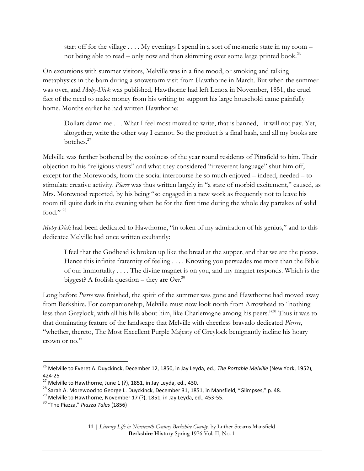start off for the village . . . . My evenings I spend in a sort of mesmeric state in my room – not being able to read – only now and then skimming over some large printed book.<sup>26</sup>

On excursions with summer visitors, Melville was in a fine mood, or smoking and talking metaphysics in the barn during a snowstorm visit from Hawthorne in March. But when the summer was over, and *Moby-Dick* was published, Hawthorne had left Lenox in November, 1851, the cruel fact of the need to make money from his writing to support his large household came painfully home. Months earlier he had written Hawthorne:

Dollars damn me . . . What I feel most moved to write, that is banned, - it will not pay. Yet, altogether, write the other way I cannot. So the product is a final hash, and all my books are botches.<sup>27</sup>

Melville was further bothered by the coolness of the year round residents of Pittsfield to him. Their objection to his "religious views" and what they considered "irreverent language" shut him off, except for the Morewoods, from the social intercourse he so much enjoyed – indeed, needed – to stimulate creative activity. *Pierre* was thus written largely in "a state of morbid excitement," caused, as Mrs. Morewood reported, by his being "so engaged in a new work as frequently not to leave his room till quite dark in the evening when he for the first time during the whole day partakes of solid food." $^{28}$ 

*Moby-Dick* had been dedicated to Hawthorne, "in token of my admiration of his genius," and to this dedicatee Melville had once written exultantly:

I feel that the Godhead is broken up like the bread at the supper, and that we are the pieces. Hence this infinite fraternity of feeling . . . . Knowing you persuades me more than the Bible of our immortality . . . . The divine magnet is on you, and my magnet responds. Which is the biggest? A foolish question – they are *One*. 29

Long before *Pierre* was finished, the spirit of the summer was gone and Hawthorne had moved away from Berkshire. For companionship, Melville must now look north from Arrowhead to "nothing less than Greylock, with all his hills about him, like Charlemagne among his peers."<sup>30</sup> Thus it was to that dominating feature of the landscape that Melville with cheerless bravado dedicated *Pierrre*, "whether, thereto, The Most Excellent Purple Majesty of Greylock benignantly incline his hoary crown or no."

<sup>26</sup> Melville to Everet A. Duyckinck, December 12, 1850, in Jay Leyda, ed., *The Portable Melville* (New York, 1952), 424-25

 $^{27}$  Melville to Hawthorne, June 1 (?), 1851, in Jay Leyda, ed., 430.

<sup>&</sup>lt;sup>28</sup> Sarah A. Morewood to George L. Duyckinck, December 31, 1851, in Mansfield, "Glimpses," p. 48.

 $^{29}$  Melville to Hawthorne, November 17 (?), 1851, in Jay Leyda, ed., 453-55.

<sup>30</sup> "The Piazza," *Piazza Tales* (1856)

**<sup>11</sup> |** *Literary Life in Nineteenth-Century Berkshire County,* by Luther Stearns Mansfield **Berkshire History** Spring 1976 Vol. II, No. 1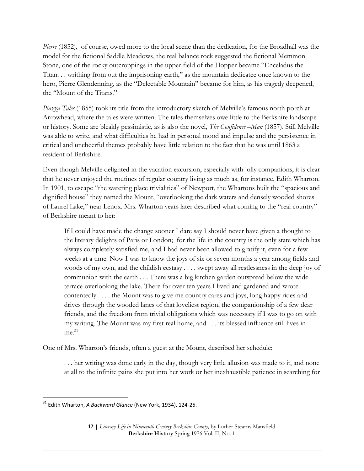*Pierre* (1852), of course, owed more to the local scene than the dedication, for the Broadhall was the model for the fictional Saddle Meadows, the real balance rock suggested the fictional Memmon Stone, one of the rocky outcroppings in the upper field of the Hopper became "Enceladus the Titan. . . writhing from out the imprisoning earth," as the mountain dedicatee once known to the hero, Pierre Glendenning, as the "Delectable Mountain" became for him, as his tragedy deepened, the "Mount of the Titans."

*Piazza Tales* (1855) took its title from the introductory sketch of Melville's famous north porch at Arrowhead, where the tales were written. The tales themselves owe little to the Berkshire landscape or history. Some are bleakly pessimistic, as is also the novel, *The Confidence –Man* (1857). Still Melville was able to write, and what difficulties he had in personal mood and impulse and the persistence in critical and uncheerful themes probably have little relation to the fact that he was until 1863 a resident of Berkshire.

Even though Melville delighted in the vacation excursion, especially with jolly companions, it is clear that he never enjoyed the routines of regular country living as much as, for instance, Edith Wharton. In 1901, to escape "the watering place trivialities" of Newport, the Whartons built the "spacious and dignified house" they named the Mount, "overlooking the dark waters and densely wooded shores of Laurel Lake," near Lenox. Mrs. Wharton years later described what coming to the "real country" of Berkshire meant to her:

If I could have made the change sooner I dare say I should never have given a thought to the literary delights of Paris or London; for the life in the country is the only state which has always completely satisfied me, and I had never been allowed to gratify it, even for a few weeks at a time. Now I was to know the joys of six or seven months a year among fields and woods of my own, and the childish ecstasy . . . . swept away all restlessness in the deep joy of communion with the earth . . . There was a big kitchen garden outspread below the wide terrace overlooking the lake. There for over ten years I lived and gardened and wrote contentedly . . . . the Mount was to give me country cares and joys, long happy rides and drives through the wooded lanes of that loveliest region, the companionship of a few dear friends, and the freedom from trivial obligations which was necessary if I was to go on with my writing. The Mount was my first real home, and . . . its blessed influence still lives in me. 31

One of Mrs. Wharton's friends, often a guest at the Mount, described her schedule:

. . . her writing was done early in the day, though very little allusion was made to it, and none at all to the infinite pains she put into her work or her inexhaustible patience in searching for

<sup>31</sup> Edith Wharton, *A Backward Glance* (New York, 1934), 124-25.

**<sup>12</sup> |** *Literary Life in Nineteenth-Century Berkshire County,* by Luther Stearns Mansfield **Berkshire History** Spring 1976 Vol. II, No. 1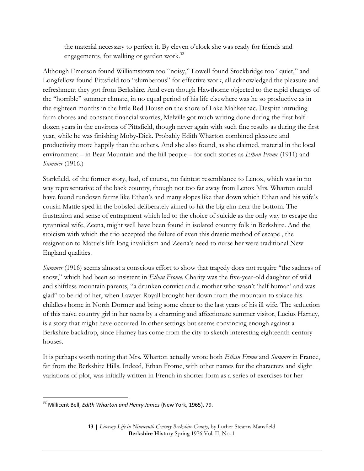the material necessary to perfect it. By eleven o'clock she was ready for friends and engagements, for walking or garden work.<sup>32</sup>

Although Emerson found Williamstown too "noisy," Lowell found Stockbridge too "quiet," and Longfellow found Pittsfield too "slumberous" for effective work, all acknowledged the pleasure and refreshment they got from Berkshire. And even though Hawthorne objected to the rapid changes of the "horrible" summer climate, in no equal period of his life elsewhere was he so productive as in the eighteen months in the little Red House on the shore of Lake Mahkeenac. Despite intruding farm chores and constant financial worries, Melville got much writing done during the first halfdozen years in the environs of Pittsfield, though never again with such fine results as during the first year, while he was finishing Moby-Dick. Probably Edith Wharton combined pleasure and productivity more happily than the others. And she also found, as she claimed, material in the local environment – in Bear Mountain and the hill people – for such stories as *Ethan Frome* (1911) and *Summer* (1916.)

Starkfield, of the former story, had, of course, no faintest resemblance to Lenox, which was in no way representative of the back country, though not too far away from Lenox Mrs. Wharton could have found rundown farms like Ethan's and many slopes like that down which Ethan and his wife's cousin Mattie sped in the bobsled deliberately aimed to hit the big elm near the bottom. The frustration and sense of entrapment which led to the choice of suicide as the only way to escape the tyrannical wife, Zeena, might well have been found in isolated country folk in Berkshire. And the stoicism with which the trio accepted the failure of even this drastic method of escape , the resignation to Mattie's life-long invalidism and Zeena's need to nurse her were traditional New England qualities.

*Summer* (1916) seems almost a conscious effort to show that tragedy does not require "the sadness of snow," which had been so insistent in *Ethan Frome*. Charity was the five-year-old daughter of wild and shiftless mountain parents, "a drunken convict and a mother who wasn't 'half human' and was glad" to be rid of her, when Lawyer Royall brought her down from the mountain to solace his childless home in North Dormer and bring some cheer to the last years of his ill wife. The seduction of this naïve country girl in her teens by a charming and affectionate summer visitor, Lucius Harney, is a story that might have occurred In other settings but seems convincing enough against a Berkshire backdrop, since Harney has come from the city to sketch interesting eighteenth-century houses.

It is perhaps worth noting that Mrs. Wharton actually wrote both *Ethan Frome* and *Summer* in France, far from the Berkshire Hills. Indeed, Ethan Frome, with other names for the characters and slight variations of plot, was initially written in French in shorter form as a series of exercises for her

 $\overline{\phantom{a}}$ <sup>32</sup> Millicent Bell, *Edith Wharton and Henry James* (New York, 1965), 79.

**<sup>13</sup> |** *Literary Life in Nineteenth-Century Berkshire County,* by Luther Stearns Mansfield **Berkshire History** Spring 1976 Vol. II, No. 1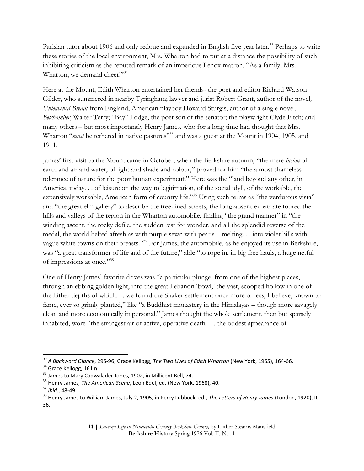Parisian tutor about 1906 and only redone and expanded in English five year later.<sup>33</sup> Perhaps to write these stories of the local environment, Mrs. Wharton had to put at a distance the possibility of such inhibiting criticism as the reputed remark of an imperious Lenox matron, "As a family, Mrs. Wharton, we demand cheer!"<sup>34</sup>

Here at the Mount, Edith Wharton entertained her friends- the poet and editor Richard Watson Gilder, who summered in nearby Tyringham; lawyer and jurist Robert Grant, author of the novel*, Unleavened Bread;* from England, American playboy Howard Sturgis, author of a single novel, *Belchamber*; Walter Terry; "Bay" Lodge, the poet son of the senator; the playwright Clyde Fitch; and many others – but most importantly Henry James, who for a long time had thought that Mrs. Wharton "*must* be tethered in native pastures"<sup>35</sup> and was a guest at the Mount in 1904, 1905, and 1911.

James' first visit to the Mount came in October, when the Berkshire autumn, "the mere *fusion* of earth and air and water, of light and shade and colour," proved for him "the almost shameless tolerance of nature for the poor human experiment." Here was the "land beyond any other, in America, today. . . of leisure on the way to legitimation, of the social idyll, of the workable, the expensively workable, American form of country life."<sup>36</sup> Using such terms as "the verdurous vista" and "the great elm gallery" to describe the tree-lined streets, the long-absent expatriate toured the hills and valleys of the region in the Wharton automobile, finding "the grand manner" in "the winding ascent, the rocky defile, the sudden rest for wonder, and all the splendid reverse of the medal, the world belted afresh as with purple sewn with pearls – melting. . . into violet hills with vague white towns on their breasts."<sup>37</sup> For James, the automobile, as he enjoyed its use in Berkshire, was "a great transformer of life and of the future," able "to rope in, in big free hauls, a huge netful of impressions at once."<sup>38</sup>

One of Henry James' favorite drives was "a particular plunge, from one of the highest places, through an ebbing golden light, into the great Lebanon 'bowl,' the vast, scooped hollow in one of the hither depths of which. . . we found the Shaker settlement once more or less, I believe, known to fame, ever so grimly planted," like "a Buddhist monastery in the Himalayas – though more savagely clean and more economically impersonal." James thought the whole settlement, then but sparsely inhabited, wore "the strangest air of active, operative death . . . the oddest appearance of

 $\overline{a}$ 

*<sup>33</sup> A Backward Glance*, 295-96; Grace Kellogg, *The Two Lives of Edith Wharton* (New York, 1965), 164-66.

<sup>&</sup>lt;sup>34</sup> Grace Kellogg, 161 n.

<sup>35</sup> James to Mary Cadwalader Jones, 1902, in Millicent Bell, 74.

<sup>36</sup> Henry James*, The American Scene*, Leon Edel, ed. (New York, 1968), 40.

<sup>37</sup> *Ibid*., 48-49

<sup>38</sup> Henry James to William James, July 2, 1905, in Percy Lubbock, ed., *The Letters of Henry James* (London, 1920), II, 36.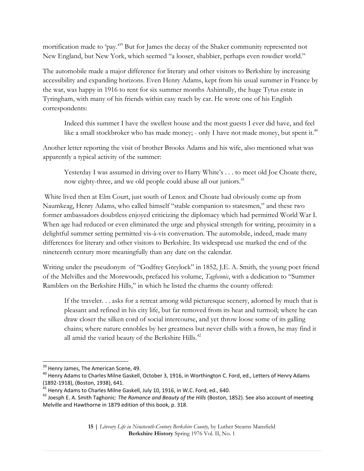mortification made to 'pay.<sup>39</sup> But for James the decay of the Shaker community represented not New England, but New York, which seemed "a looser, shabbier, perhaps even rowdier world."

The automobile made a major difference for literary and other visitors to Berkshire by increasing accessibility and expanding horizons. Even Henry Adams, kept from his usual summer in France by the war, was happy in 1916 to rent for six summer months Ashintully, the huge Tytus estate in Tyringham, with many of his friends within easy reach by car. He wrote one of his English correspondents:

Indeed this summer I have the swellest house and the most guests I ever did have, and feel like a small stockbroker who has made money; - only I have not made money, but spent it.<sup>40</sup>

Another letter reporting the visit of brother Brooks Adams and his wife, also mentioned what was apparently a typical activity of the summer:

Yesterday I was assumed in driving over to Harry White's . . . to meet old Joe Choate there, now eighty-three, and we old people could abuse all our juniors.<sup>41</sup>

White lived then at Elm Court, just south of Lenox and Choate had obviously come up from Naumkeag, Henry Adams, who called himself "stable companion to statesmen," and these two former ambassadors doubtless enjoyed criticizing the diplomacy which had permitted World War I. When age had reduced or even eliminated the urge and physical strength for writing, proximity in a delightful summer setting permitted vis-à-vis conversation. The automobile, indeed, made many differences for literary and other visitors to Berkshire. Its widespread use marked the end of the nineteenth century more meaningfully than any date on the calendar.

Writing under the pseudonym of "Godfrey Greylock" in 1852, J.E. A. Smith, the young poet friend of the Melvilles and the Morewoods, prefaced his volume, *Taghconic*, with a dedication to "Summer Ramblers on the Berkshire Hills," in which he listed the charms the county offered:

If the traveler. . . asks for a retreat among wild picturesque scenery, adorned by much that is pleasant and refined in his city life, but far removed from its heat and turmoil; where he can draw closer the silken cord of social intercourse, and yet throw loose some of its galling chains; where nature ennobles by her greatness but never chills with a frown, he may find it all amid the varied beauty of the Berkshire Hills.<sup>42</sup>

<sup>&</sup>lt;sup>39</sup> Henry James, The American Scene, 49.

<sup>&</sup>lt;sup>40</sup> Henry Adams to Charles Milne Gaskell, October 3, 1916, in Worthington C. Ford, ed., Letters of Henry Adams (1892-1918), (Boston, 1938), 641.

 $^{41}$  Henry Adams to Charles Milne Gaskell, July 10, 1916, in W.C. Ford, ed., 640.

<sup>42</sup> Joesph E. A. Smith Taghonic: *The Romance and Beauty of the Hills* (Boston, 1852). See also account of meeting Melville and Hawthorne in 1879 edition of this book, p. 318.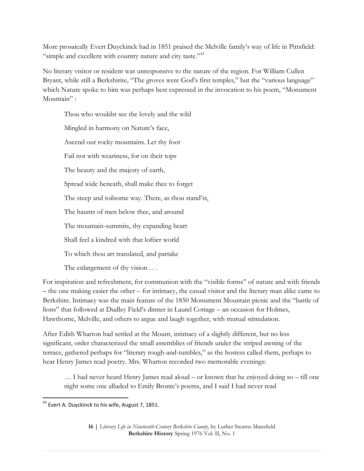More prosaically Evert Duyckinck had in 1851 praised the Melville family's way of life in Pittsfield: "simple and excellent with country nature and city taste."<sup>43</sup>

No literary visitor or resident was unresponsive to the nature of the region. For William Cullen Bryant, while still a Berkshirite, "The groves were God's first temples," but the "various language" which Nature spoke to him was perhaps best expressed in the invocation to his poem, "Monument Mountain" :

Thou who wouldst see the lovely and the wild Mingled in harmony on Nature's face, Ascend our rocky mountains. Let thy foot Fail not with weariness, for on their tops The beauty and the majesty of earth, Spread wide beneath, shall make thee to forget The steep and toilsome way. There, as thou stand'st, The haunts of men below thee, and around The mountain-summits, thy expanding heart Shall feel a kindred with that loftier world To which thou art translated, and partake The enlargement of thy vision . . .

For inspiration and refreshment, for communion with the "visible forms" of nature and with friends – the one making easier the other – for intimacy, the casual visitor and the literary man alike came to Berkshire. Intimacy was the main feature of the 1850 Monument Mountain picnic and the "battle of lions" that followed at Dudley Field's dinner in Laurel Cottage – an occasion for Holmes, Hawthorne, Melville, and others to argue and laugh together, with mutual stimulation.

After Edith Wharton had settled at the Mount, intimacy of a slightly different, but no less significant, order characterized the small assemblies of friends under the striped awning of the terrace, gathered perhaps for "literary rough-and-tumbles," as the hostess called them, perhaps to hear Henry James read poetry. Mrs. Wharton recorded two memorable evenings:

… I had never heard Henry James read aloud – or known that he enjoyed doing so – till one night some one alluded to Emily Bronte's poems, and I said I had never read

 $^{43}$  Evert A. Duyckinck to his wife, August 7, 1851.

**<sup>16</sup> |** *Literary Life in Nineteenth-Century Berkshire County,* by Luther Stearns Mansfield **Berkshire History** Spring 1976 Vol. II, No. 1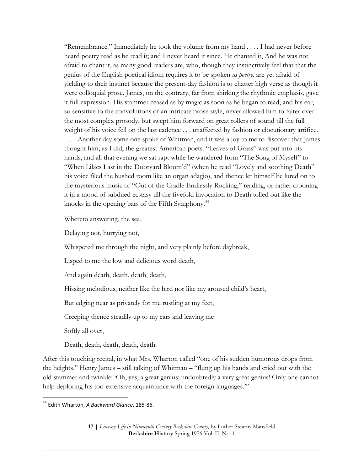"Remembrance." Immediately he took the volume from my hand . . . . I had never before heard poetry read as he read it; and I never heard it since. He chanted it, And he was not afraid to chant it, as many good readers are, who, though they instinctively feel that that the genius of the English poetical idiom requires it to be spoken *as poetry,* are yet afraid of yielding to their instinct because the present-day fashion is to chatter high verse as though it were colloquial prose. James, on the contrary, far from shirking the rhythmic emphasis, gave it full expression. His stammer ceased as by magic as soon as he began to read, and his ear, so sensitive to the convolutions of an intricate prose style, never allowed him to falter over the most complex prosody, but swept him forward on great rollers of sound till the full weight of his voice fell on the last cadence . . . unaffected by fashion or elocutionary artifice. . . . . Another day some one spoke of Whitman, and it was a joy to me to discover that James thought him, as I did, the greatest American poets. "Leaves of Grass" was put into his hands, and all that evening we sat rapt while he wandered from "The Song of Myself" to "When Lilacs Last in the Dooryard Bloom'd" (when he read "Lovely and soothing Death" his voice filed the hushed room like an organ adagio), and thence let himself be lured on to the mysterious music of "Out of the Cradle Endlessly Rocking," reading, or rather crooning it in a mood of subdued ecstasy till the fivefold invocation to Death tolled out like the knocks in the opening bars of the Fifth Symphony.<sup>44</sup>

Whereto answering, the sea,

Delaying not, hurrying not,

Whispered me through the night, and very plainly before daybreak,

Lisped to me the low and delicious word death,

And again death, death, death, death,

Hissing melodious, neither like the bird nor like my aroused child's heart,

But edging near as privately for me rustling at my feet,

Creeping thence steadily up to my ears and leaving me

Softly all over,

 $\overline{\phantom{a}}$ 

Death, death, death, death, death.

After this touching recital, in what Mrs. Wharton called "one of his sudden humorous drops from the heights," Henry James – still talking of Whitman – "flung up his hands and cried out with the old stammer and twinkle: 'Oh, yes, a great genius; undoubtedly a very great genius! Only one cannot help deploring his too-extensive acquaintance with the foreign languages."

<sup>44</sup> Edith Wharton, *A Backward Glance*, 185-86.

**<sup>17</sup> |** *Literary Life in Nineteenth-Century Berkshire County,* by Luther Stearns Mansfield **Berkshire History** Spring 1976 Vol. II, No. 1